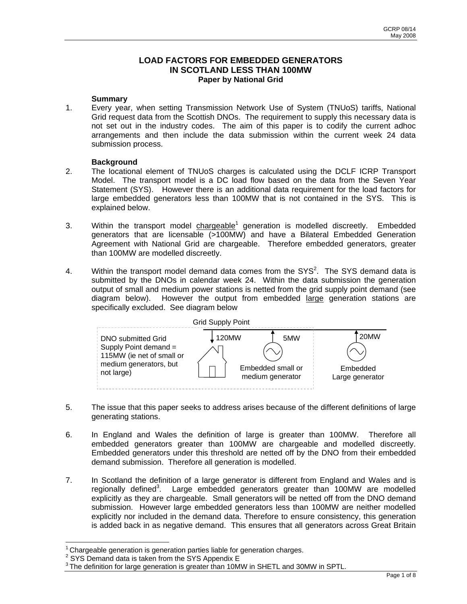# **LOAD FACTORS FOR EMBEDDED GENERATORS IN SCOTLAND LESS THAN 100MW Paper by National Grid**

## **Summary**

1. Every year, when setting Transmission Network Use of System (TNUoS) tariffs, National Grid request data from the Scottish DNOs. The requirement to supply this necessary data is not set out in the industry codes. The aim of this paper is to codify the current adhoc arrangements and then include the data submission within the current week 24 data submission process.

# **Background**

- 2. The locational element of TNUoS charges is calculated using the DCLF ICRP Transport Model. The transport model is a DC load flow based on the data from the Seven Year Statement (SYS). However there is an additional data requirement for the load factors for large embedded generators less than 100MW that is not contained in the SYS. This is explained below.
- 3. Within the transport model chargeable<sup>1</sup> generation is modelled discreetly. Embedded generators that are licensable (>100MW) and have a Bilateral Embedded Generation Agreement with National Grid are chargeable. Therefore embedded generators, greater than 100MW are modelled discreetly.
- 4. Within the transport model demand data comes from the SYS<sup>2</sup>. The SYS demand data is submitted by the DNOs in calendar week 24. Within the data submission the generation output of small and medium power stations is netted from the grid supply point demand (see diagram below). However the output from embedded large generation stations are specifically excluded. See diagram below



- 5. The issue that this paper seeks to address arises because of the different definitions of large generating stations.
- 6. In England and Wales the definition of large is greater than 100MW. Therefore all embedded generators greater than 100MW are chargeable and modelled discreetly. Embedded generators under this threshold are netted off by the DNO from their embedded demand submission. Therefore all generation is modelled.
- 7. In Scotland the definition of a large generator is different from England and Wales and is regionally defined<sup>3</sup>. Large embedded generators greater than 100MW are modelled explicitly as they are chargeable. Small generators will be netted off from the DNO demand submission. However large embedded generators less than 100MW are neither modelled explicitly nor included in the demand data. Therefore to ensure consistency, this generation is added back in as negative demand. This ensures that all generators across Great Britain

i.

 $1$  Chargeable generation is generation parties liable for generation charges.

 $2$  SYS Demand data is taken from the SYS Appendix E

<sup>&</sup>lt;sup>3</sup> The definition for large generation is greater than 10MW in SHETL and 30MW in SPTL.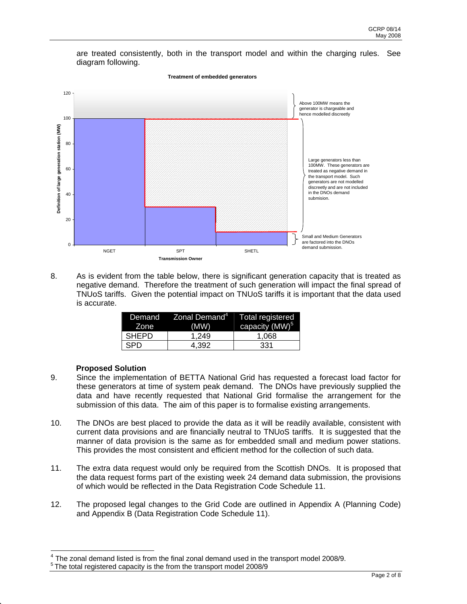are treated consistently, both in the transport model and within the charging rules. See diagram following.



8. As is evident from the table below, there is significant generation capacity that is treated as negative demand. Therefore the treatment of such generation will impact the final spread of TNUoS tariffs. Given the potential impact on TNUoS tariffs it is important that the data used is accurate.

| Demand<br>Zone | $\parallel$ Zonal Demand $^4\parallel$<br>(MW) | <b>Total registered</b><br>capacity (MW) <sup>5</sup> |
|----------------|------------------------------------------------|-------------------------------------------------------|
| <b>SHEPD</b>   | 1.249                                          | 1.068                                                 |
| <b>SPD</b>     | 4.392                                          | 331                                                   |

# **Proposed Solution**

- 9. Since the implementation of BETTA National Grid has requested a forecast load factor for these generators at time of system peak demand. The DNOs have previously supplied the data and have recently requested that National Grid formalise the arrangement for the submission of this data. The aim of this paper is to formalise existing arrangements.
- 10. The DNOs are best placed to provide the data as it will be readily available, consistent with current data provisions and are financially neutral to TNUoS tariffs. It is suggested that the manner of data provision is the same as for embedded small and medium power stations. This provides the most consistent and efficient method for the collection of such data.
- 11. The extra data request would only be required from the Scottish DNOs. It is proposed that the data request forms part of the existing week 24 demand data submission, the provisions of which would be reflected in the Data Registration Code Schedule 11.
- 12. The proposed legal changes to the Grid Code are outlined in Appendix A (Planning Code) and Appendix B (Data Registration Code Schedule 11).

l.  $<sup>4</sup>$  The zonal demand listed is from the final zonal demand used in the transport model 2008/9.</sup>

 $5$  The total registered capacity is the from the transport model 2008/9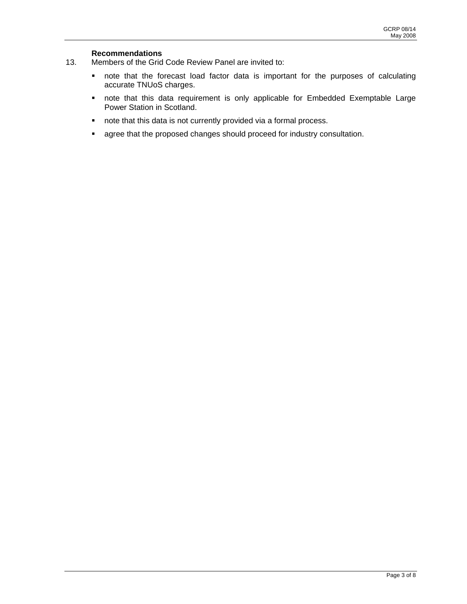## **Recommendations**

- 13. Members of the Grid Code Review Panel are invited to:
	- note that the forecast load factor data is important for the purposes of calculating accurate TNUoS charges.
	- note that this data requirement is only applicable for Embedded Exemptable Large Power Station in Scotland.
	- **note that this data is not currently provided via a formal process.**
	- **agree that the proposed changes should proceed for industry consultation.**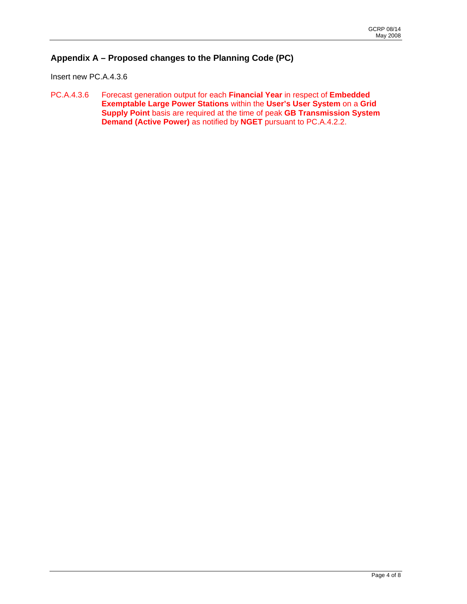# **Appendix A – Proposed changes to the Planning Code (PC)**

Insert new PC.A.4.3.6

PC.A.4.3.6 Forecast generation output for each **Financial Year** in respect of **Embedded Exemptable Large Power Stations** within the **User's User System** on a **Grid Supply Point** basis are required at the time of peak **GB Transmission System Demand (Active Power)** as notified by **NGET** pursuant to PC.A.4.2.2.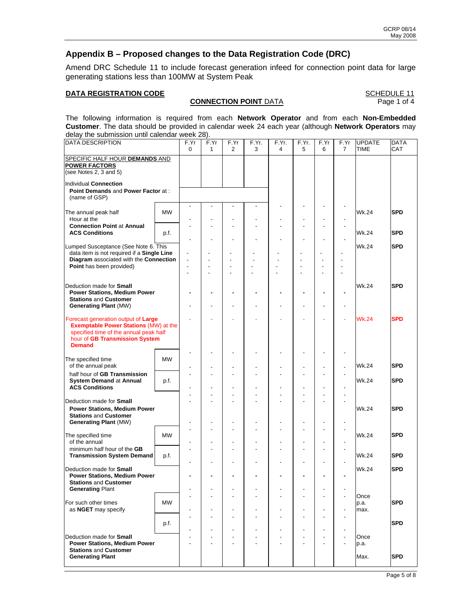# **Appendix B – Proposed changes to the Data Registration Code (DRC)**

Amend DRC Schedule 11 to include forecast generation infeed for connection point data for large generating stations less than 100MW at System Peak

# **DATA REGISTRATION CODE**<br>**CONNECTION POINT** DATA **SCHEDULE 11**<br>Page 1 of 4

### **CONNECTION POINT DATA**

The following information is required from each **Network Operator** and from each **Non-Embedded Customer**. The data should be provided in calendar week 24 each year (although **Network Operators** may delay the submission until calendar week 28).

| <b>DATA DESCRIPTION</b>                                                                                                                                                          |           | F.Yr<br>$\mathbf 0$ | F.Yr<br>$\mathbf{1}$             | F.Yr<br>$\overline{2}$                               | F.Yr.<br>3 | F.Yr.<br>4               | F.Yr.<br>5               | F.Yr<br>6                                          | F.Yr<br>$\overline{7}$                     | <b>UPDATE</b><br><b>TIME</b> | <b>DATA</b><br>CAT |
|----------------------------------------------------------------------------------------------------------------------------------------------------------------------------------|-----------|---------------------|----------------------------------|------------------------------------------------------|------------|--------------------------|--------------------------|----------------------------------------------------|--------------------------------------------|------------------------------|--------------------|
| SPECIFIC HALF HOUR DEMANDS AND<br><b>POWER FACTORS</b><br>(see Notes 2, 3 and 5)                                                                                                 |           |                     |                                  |                                                      |            |                          |                          |                                                    |                                            |                              |                    |
| Individual Connection<br>Point Demands and Power Factor at:<br>(name of GSP)                                                                                                     |           |                     |                                  |                                                      |            |                          |                          |                                                    |                                            |                              |                    |
| The annual peak half<br>Hour at the                                                                                                                                              | <b>MW</b> |                     |                                  |                                                      |            |                          |                          |                                                    |                                            | <b>Wk.24</b>                 | <b>SPD</b>         |
| <b>Connection Point at Annual</b><br><b>ACS Conditions</b>                                                                                                                       | p.f.      |                     |                                  |                                                      |            |                          |                          |                                                    |                                            | Wk.24                        | <b>SPD</b>         |
| Lumped Susceptance (See Note 6. This<br>data item is not required if a Single Line<br>Diagram associated with the Connection<br>Point has been provided)                         |           | Ĭ.<br>Ĭ.<br>÷,      | $\overline{a}$                   | $\overline{a}$<br>$\overline{a}$<br>$\overline{a}$   |            |                          |                          | Ĭ.<br>$\blacksquare$                               | $\overline{a}$                             | Wk.24                        | <b>SPD</b>         |
| Deduction made for Small<br><b>Power Stations, Medium Power</b><br><b>Stations and Customer</b><br><b>Generating Plant (MW)</b>                                                  |           | ٠                   | ۰<br>$\overline{a}$              | $\overline{a}$                                       |            |                          |                          |                                                    | $\overline{a}$                             | Wk.24                        | <b>SPD</b>         |
| Forecast generation output of Large<br><b>Exemptable Power Stations (MW) at the</b><br>specified time of the annual peak half<br>hour of GB Transmission System<br><b>Demand</b> |           |                     |                                  |                                                      |            |                          |                          |                                                    |                                            | <b>Wk.24</b>                 | <b>SPD</b>         |
| The specified time<br>of the annual peak                                                                                                                                         | <b>MW</b> |                     |                                  |                                                      |            |                          |                          | $\overline{a}$                                     | $\blacksquare$<br>÷,                       | <b>Wk.24</b>                 | <b>SPD</b>         |
| half hour of GB Transmission<br><b>System Demand at Annual</b><br><b>ACS Conditions</b>                                                                                          | p.f.      |                     |                                  |                                                      |            |                          |                          |                                                    |                                            | Wk.24                        | <b>SPD</b>         |
| Deduction made for <b>Small</b><br><b>Power Stations, Medium Power</b><br><b>Stations and Customer</b><br><b>Generating Plant (MW)</b>                                           |           |                     | $\overline{a}$<br>$\overline{a}$ |                                                      |            |                          |                          | $\overline{a}$<br>$\overline{a}$<br>$\overline{a}$ | ä,<br>$\overline{a}$                       | Wk.24                        | <b>SPD</b>         |
| The specified time<br>of the annual                                                                                                                                              | MW        | ÷,                  | ÷,                               |                                                      |            |                          |                          |                                                    | ÷,<br>$\blacksquare$                       | <b>Wk.24</b>                 | <b>SPD</b>         |
| minimum half hour of the GB<br><b>Transmission System Demand</b>                                                                                                                 | p.f.      |                     | ٠                                | $\overline{a}$                                       |            |                          |                          | $\overline{\phantom{a}}$                           | $\overline{\phantom{a}}$                   | Wk.24                        | <b>SPD</b>         |
| Deduction made for <b>Small</b><br><b>Power Stations, Medium Power</b><br><b>Stations and Customer</b><br><b>Generating Plant</b>                                                |           |                     |                                  |                                                      |            |                          |                          |                                                    | $\blacksquare$                             | Wk.24                        | <b>SPD</b>         |
| For such other times<br>as NGET may specify                                                                                                                                      | <b>MW</b> | ٠                   | ٠                                | $\overline{\phantom{a}}$<br>$\overline{\phantom{0}}$ |            |                          | $\overline{\phantom{a}}$ | $\overline{a}$                                     | $\blacksquare$<br>$\overline{a}$           | Once<br>p.a.<br>max.         | <b>SPD</b>         |
|                                                                                                                                                                                  | p.f.      |                     | $\overline{\phantom{a}}$         | $\blacksquare$<br>$\overline{a}$                     |            | $\overline{a}$           | $\overline{\phantom{a}}$ | $\overline{\phantom{a}}$                           | $\blacksquare$<br>$\blacksquare$           |                              | <b>SPD</b>         |
| Deduction made for Small<br><b>Power Stations, Medium Power</b><br><b>Stations and Customer</b>                                                                                  |           |                     | ٠<br>÷,                          | $\overline{\phantom{a}}$<br>$\overline{a}$           |            | $\overline{\phantom{a}}$ |                          | $\blacksquare$<br>$\overline{\phantom{a}}$         | $\blacksquare$<br>$\overline{\phantom{a}}$ | Once<br>p.a.                 |                    |
| <b>Generating Plant</b>                                                                                                                                                          |           |                     |                                  |                                                      |            |                          |                          |                                                    |                                            | Max.                         | <b>SPD</b>         |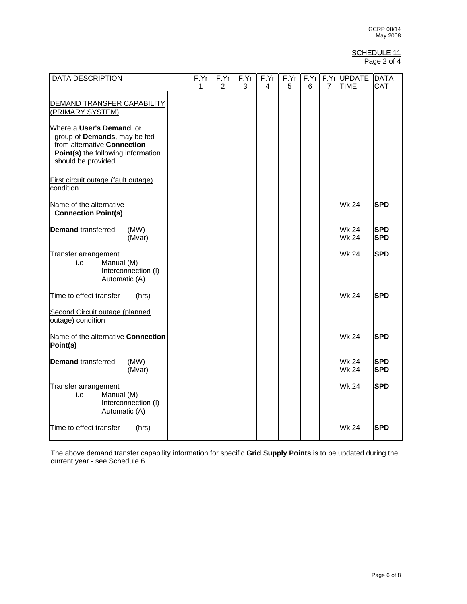#### SCHEDULE 11 Page 2 of 4

| <b>DATA DESCRIPTION</b>                                                                                                                              |  | F.Yr | F.Yr           | F.Yr | F.Yr | F.Yr | F.Yr |                | F.Yr UPDATE                  | <b>DATA</b>              |
|------------------------------------------------------------------------------------------------------------------------------------------------------|--|------|----------------|------|------|------|------|----------------|------------------------------|--------------------------|
|                                                                                                                                                      |  | 1    | $\overline{2}$ | 3    | 4    | 5    | 6    | $\overline{7}$ | <b>TIME</b>                  | <b>CAT</b>               |
| DEMAND TRANSFER CAPABILITY                                                                                                                           |  |      |                |      |      |      |      |                |                              |                          |
| (PRIMARY SYSTEM)                                                                                                                                     |  |      |                |      |      |      |      |                |                              |                          |
| Where a User's Demand, or<br>group of Demands, may be fed<br>from alternative Connection<br>Point(s) the following information<br>should be provided |  |      |                |      |      |      |      |                |                              |                          |
| First circuit outage (fault outage)<br>condition                                                                                                     |  |      |                |      |      |      |      |                |                              |                          |
| Name of the alternative<br><b>Connection Point(s)</b>                                                                                                |  |      |                |      |      |      |      |                | Wk.24                        | <b>SPD</b>               |
| <b>Demand</b> transferred<br>(MW)                                                                                                                    |  |      |                |      |      |      |      |                | <b>Wk.24</b>                 | <b>SPD</b>               |
| (Mvar)                                                                                                                                               |  |      |                |      |      |      |      |                | <b>Wk.24</b>                 | <b>SPD</b>               |
| Transfer arrangement<br>Manual (M)<br>i.e<br>Interconnection (I)<br>Automatic (A)                                                                    |  |      |                |      |      |      |      |                | Wk.24                        | <b>SPD</b>               |
| Time to effect transfer<br>(hrs)                                                                                                                     |  |      |                |      |      |      |      |                | <b>Wk.24</b>                 | <b>SPD</b>               |
| Second Circuit outage (planned<br>outage) condition                                                                                                  |  |      |                |      |      |      |      |                |                              |                          |
| Name of the alternative Connection<br>Point(s)                                                                                                       |  |      |                |      |      |      |      |                | Wk.24                        | <b>SPD</b>               |
| <b>Demand transferred</b><br>(MW)<br>(Mvar)                                                                                                          |  |      |                |      |      |      |      |                | <b>Wk.24</b><br><b>Wk.24</b> | <b>SPD</b><br><b>SPD</b> |
| Transfer arrangement<br>Manual (M)<br>i.e<br>Interconnection (I)<br>Automatic (A)                                                                    |  |      |                |      |      |      |      |                | <b>Wk.24</b>                 | <b>SPD</b>               |
| Time to effect transfer<br>(hrs)                                                                                                                     |  |      |                |      |      |      |      |                | <b>Wk.24</b>                 | <b>SPD</b>               |

The above demand transfer capability information for specific **Grid Supply Points** is to be updated during the current year - see Schedule 6.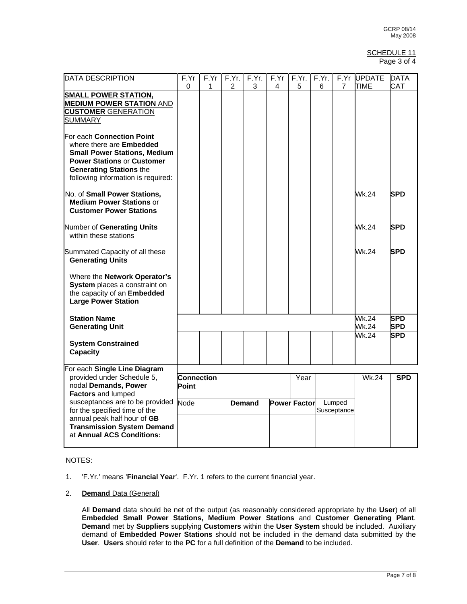#### SCHEDULE 11 Page 3 of 4

| <b>DATA DESCRIPTION</b>             | F.Yr              | F.Yr | F.Yr.         | F.Yr. | F.Yr | F.Yr.               | F.Yr. | F.Yr        | <b>UPDATE</b> | <b>DATA</b> |
|-------------------------------------|-------------------|------|---------------|-------|------|---------------------|-------|-------------|---------------|-------------|
|                                     | 0                 | 1    | 2             | 3     | 4    | 5                   | 6     | 7           | <b>TIME</b>   | CAT         |
| <b>SMALL POWER STATION,</b>         |                   |      |               |       |      |                     |       |             |               |             |
| <b>MEDIUM POWER STATION AND</b>     |                   |      |               |       |      |                     |       |             |               |             |
| <b>CUSTOMER GENERATION</b>          |                   |      |               |       |      |                     |       |             |               |             |
| <b>SUMMARY</b>                      |                   |      |               |       |      |                     |       |             |               |             |
|                                     |                   |      |               |       |      |                     |       |             |               |             |
| For each Connection Point           |                   |      |               |       |      |                     |       |             |               |             |
| where there are Embedded            |                   |      |               |       |      |                     |       |             |               |             |
| <b>Small Power Stations, Medium</b> |                   |      |               |       |      |                     |       |             |               |             |
| <b>Power Stations or Customer</b>   |                   |      |               |       |      |                     |       |             |               |             |
| <b>Generating Stations the</b>      |                   |      |               |       |      |                     |       |             |               |             |
| following information is required:  |                   |      |               |       |      |                     |       |             |               |             |
|                                     |                   |      |               |       |      |                     |       |             |               |             |
| No. of Small Power Stations,        |                   |      |               |       |      |                     |       |             | <b>Wk.24</b>  | <b>SPD</b>  |
| <b>Medium Power Stations or</b>     |                   |      |               |       |      |                     |       |             |               |             |
| <b>Customer Power Stations</b>      |                   |      |               |       |      |                     |       |             |               |             |
|                                     |                   |      |               |       |      |                     |       |             |               |             |
| Number of Generating Units          |                   |      |               |       |      |                     |       |             | Wk.24         | <b>SPD</b>  |
| within these stations               |                   |      |               |       |      |                     |       |             |               |             |
|                                     |                   |      |               |       |      |                     |       |             |               |             |
| Summated Capacity of all these      |                   |      |               |       |      |                     |       |             | Wk.24         | <b>SPD</b>  |
| <b>Generating Units</b>             |                   |      |               |       |      |                     |       |             |               |             |
|                                     |                   |      |               |       |      |                     |       |             |               |             |
| Where the Network Operator's        |                   |      |               |       |      |                     |       |             |               |             |
| System places a constraint on       |                   |      |               |       |      |                     |       |             |               |             |
| the capacity of an Embedded         |                   |      |               |       |      |                     |       |             |               |             |
| <b>Large Power Station</b>          |                   |      |               |       |      |                     |       |             |               |             |
|                                     |                   |      |               |       |      |                     |       |             |               |             |
| <b>Station Name</b>                 |                   |      |               |       |      |                     |       |             | Wk.24         | <b>SPD</b>  |
|                                     |                   |      |               |       |      |                     |       |             | Wk.24         | <b>SPD</b>  |
| <b>Generating Unit</b>              |                   |      |               |       |      |                     |       |             |               |             |
|                                     |                   |      |               |       |      |                     |       |             | Wk.24         | <b>SPD</b>  |
| <b>System Constrained</b>           |                   |      |               |       |      |                     |       |             |               |             |
| <b>Capacity</b>                     |                   |      |               |       |      |                     |       |             |               |             |
|                                     |                   |      |               |       |      |                     |       |             |               |             |
| For each Single Line Diagram        |                   |      |               |       |      |                     |       |             |               |             |
| provided under Schedule 5,          | <b>Connection</b> |      |               |       |      | Year                |       |             | <b>Wk.24</b>  | <b>SPD</b>  |
| nodal Demands, Power                | Point             |      |               |       |      |                     |       |             |               |             |
| Factors and lumped                  |                   |      |               |       |      |                     |       |             |               |             |
| susceptances are to be provided     | Node              |      | <b>Demand</b> |       |      | <b>Power Factor</b> |       | Lumped      |               |             |
| for the specified time of the       |                   |      |               |       |      |                     |       | Susceptance |               |             |
| annual peak half hour of GB         |                   |      |               |       |      |                     |       |             |               |             |
| <b>Transmission System Demand</b>   |                   |      |               |       |      |                     |       |             |               |             |
| at Annual ACS Conditions:           |                   |      |               |       |      |                     |       |             |               |             |
|                                     |                   |      |               |       |      |                     |       |             |               |             |

# NOTES:

- 1. 'F.Yr.' means '**Financial Year**'. F.Yr. 1 refers to the current financial year.
- 2. **Demand** Data (General)

All **Demand** data should be net of the output (as reasonably considered appropriate by the **User**) of all **Embedded Small Power Stations, Medium Power Stations** and **Customer Generating Plant**. **Demand** met by **Suppliers** supplying **Customers** within the **User System** should be included. Auxiliary demand of **Embedded Power Stations** should not be included in the demand data submitted by the **User**. **Users** should refer to the **PC** for a full definition of the **Demand** to be included.